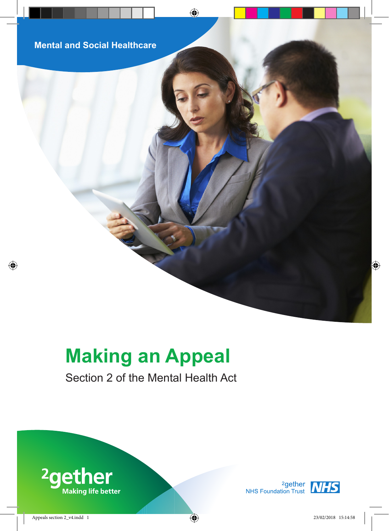# **Making an Appeal**

# Section 2 of the Mental Health Act



<sup>2</sup>gether **NHS**<br>NHS Foundation Trust **NHS** 

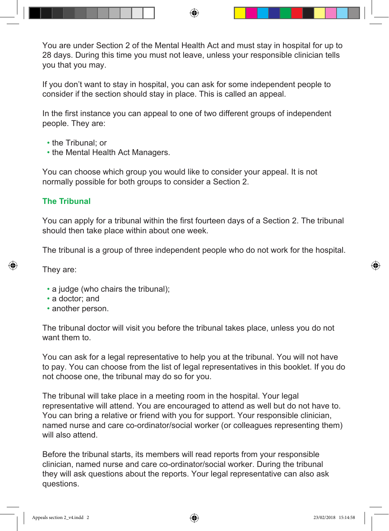You are under Section 2 of the Mental Health Act and must stay in hospital for up to 28 days. During this time you must not leave, unless your responsible clinician tells you that you may.

If you don't want to stay in hospital, you can ask for some independent people to consider if the section should stay in place. This is called an appeal.

In the first instance you can appeal to one of two different groups of independent people. They are:

- the Tribunal; or
- the Mental Health Act Managers.

You can choose which group you would like to consider your appeal. It is not normally possible for both groups to consider a Section 2.

# **The Tribunal**

You can apply for a tribunal within the first fourteen days of a Section 2. The tribunal should then take place within about one week.

The tribunal is a group of three independent people who do not work for the hospital.

They are:

- a judge (who chairs the tribunal);
- a doctor; and
- another person.

The tribunal doctor will visit you before the tribunal takes place, unless you do not want them to.

You can ask for a legal representative to help you at the tribunal. You will not have to pay. You can choose from the list of legal representatives in this booklet. If you do not choose one, the tribunal may do so for you.

The tribunal will take place in a meeting room in the hospital. Your legal representative will attend. You are encouraged to attend as well but do not have to. You can bring a relative or friend with you for support. Your responsible clinician, named nurse and care co-ordinator/social worker (or colleagues representing them) will also attend.

Before the tribunal starts, its members will read reports from your responsible clinician, named nurse and care co-ordinator/social worker. During the tribunal they will ask questions about the reports. Your legal representative can also ask questions.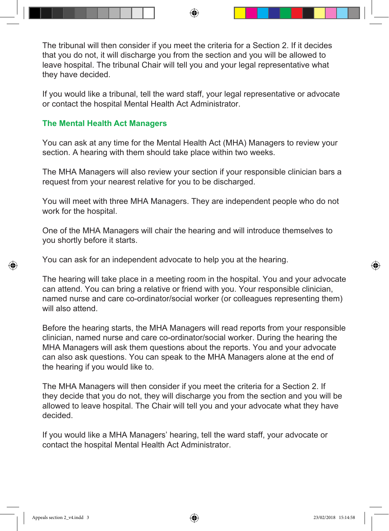The tribunal will then consider if you meet the criteria for a Section 2. If it decides that you do not, it will discharge you from the section and you will be allowed to leave hospital. The tribunal Chair will tell you and your legal representative what they have decided.

If you would like a tribunal, tell the ward staff, your legal representative or advocate or contact the hospital Mental Health Act Administrator.

## **The Mental Health Act Managers**

You can ask at any time for the Mental Health Act (MHA) Managers to review your section. A hearing with them should take place within two weeks.

The MHA Managers will also review your section if your responsible clinician bars a request from your nearest relative for you to be discharged.

You will meet with three MHA Managers. They are independent people who do not work for the hospital.

One of the MHA Managers will chair the hearing and will introduce themselves to you shortly before it starts.

You can ask for an independent advocate to help you at the hearing.

The hearing will take place in a meeting room in the hospital. You and your advocate can attend. You can bring a relative or friend with you. Your responsible clinician, named nurse and care co-ordinator/social worker (or colleagues representing them) will also attend.

Before the hearing starts, the MHA Managers will read reports from your responsible clinician, named nurse and care co-ordinator/social worker. During the hearing the MHA Managers will ask them questions about the reports. You and your advocate can also ask questions. You can speak to the MHA Managers alone at the end of the hearing if you would like to.

The MHA Managers will then consider if you meet the criteria for a Section 2. If they decide that you do not, they will discharge you from the section and you will be allowed to leave hospital. The Chair will tell you and your advocate what they have decided.

If you would like a MHA Managers' hearing, tell the ward staff, your advocate or contact the hospital Mental Health Act Administrator.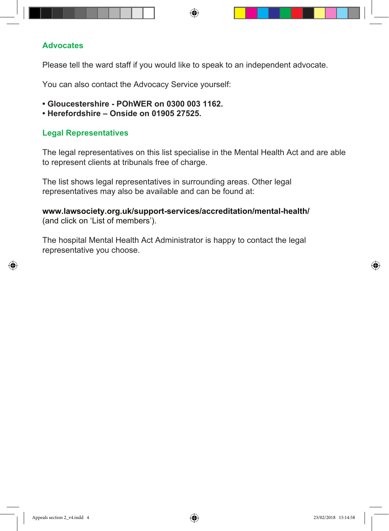#### **Advocates**

Please tell the ward staff if you would like to speak to an independent advocate.

You can also contact the Advocacy Service yourself:

- **Gloucestershire POhWER on 0300 003 1162.**
- **Herefordshire Onside on 01905 27525.**

# **Legal Representatives**

The legal representatives on this list specialise in the Mental Health Act and are able to represent clients at tribunals free of charge.

The list shows legal representatives in surrounding areas. Other legal representatives may also be available and can be found at:

**www.lawsociety.org.uk/support-services/accreditation/mental-health/** (and click on 'List of members').

The hospital Mental Health Act Administrator is happy to contact the legal representative you choose.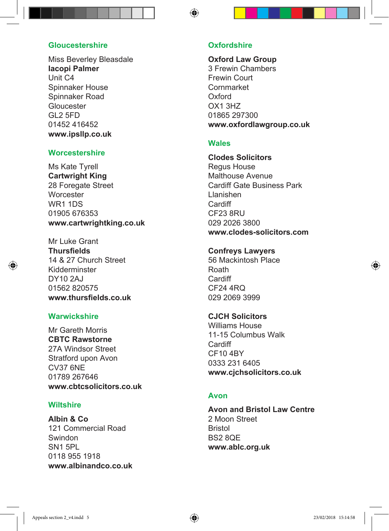#### **Gloucestershire**

Miss Beverley Bleasdale **Iacopi Palmer** Unit C4 Spinnaker House Spinnaker Road Gloucester GL2 5FD 01452 416452 **www.ipsllp.co.uk**

#### **Worcestershire**

Ms Kate Tyrell **Cartwright King** 28 Foregate Street **Worcester** WR1 1DS 01905 676353 **www.cartwrightking.co.uk**

Mr Luke Grant **Thursfields** 14 & 27 Church Street Kidderminster DY10 2AJ 01562 820575 **www.thursfields.co.uk**

#### **Warwickshire**

Mr Gareth Morris **CBTC Rawstorne** 27A Windsor Street Stratford upon Avon CV37 6NE 01789 267646 **www.cbtcsolicitors.co.uk**

#### **Wiltshire**

**Albin & Co** 121 Commercial Road Swindon SN1 5PL 0118 955 1918 **www.albinandco.co.uk**

#### **Oxfordshire**

**Oxford Law Group** 3 Frewin Chambers Frewin Court Cornmarket Oxford OX1 3HZ 01865 297300 **www.oxfordlawgroup.co.uk**

#### **Wales**

**Clodes Solicitors** Regus House Malthouse Avenue Cardiff Gate Business Park Llanishen **Cardiff** CF23 8RU 029 2026 3800 **www.clodes-solicitors.com**

#### **Confreys Lawyers**

56 Mackintosh Place Roath Cardiff CF<sub>24</sub> 4RQ 029 2069 3999

#### **CJCH Solicitors**

Williams House 11-15 Columbus Walk Cardiff CF10 4BY 0333 231 6405 **www.cjchsolicitors.co.uk**

#### **Avon**

**Avon and Bristol Law Centre** 2 Moon Street Bristol BS2 8QE **www.ablc.org.uk**